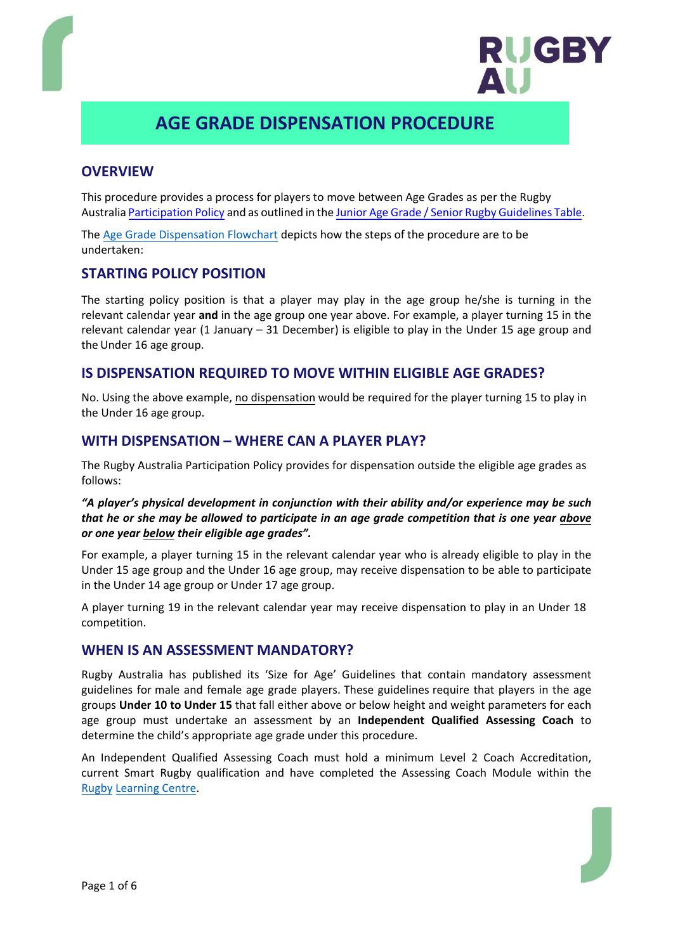

# **AGE GRADE DISPENSATION PROCEDURE**

# **OVERVIEW**

This procedure provides a process for players to move between Age Grades as per the Rugby Austral[ia Participation Policy](file:///C:/Users/danielle.smith/Downloads/RugbyAustraliaParticipationPolicy%202020%20(1).pdf) and as outlined in the Junior Age [Grade / Senior Rugby Guidelines Table.](file:///C:/Users/danielle.smith/Downloads/JuniorAgeGradeGuidelinesTable%202020%20(2).pdf)

The [Age Grade Dispensation F](http://www.rugbyau.com/-/media/rugbyau/documents/AgeGradeDispensationFlowchart.pdf)lowchart depicts how the steps of the procedure are to be undertaken:

## **STARTING POLICY POSITION**

The starting policy position is that a player may play in the age group he/she is turning in the relevant calendar year **and** in the age group one year above. For example, a player turning 15 in the relevant calendar year (1 January – 31 December) is eligible to play in the Under 15 age group and the Under 16 age group.

## **IS DISPENSATION REQUIRED TO MOVE WITHIN ELIGIBLE AGE GRADES?**

No. Using the above example, no dispensation would be required for the player turning 15 to play in the Under 16 age group.

## **WITH DISPENSATION – WHERE CAN A PLAYER PLAY?**

The Rugby Australia Participation Policy provides for dispensation outside the eligible age grades as follows:

### *"A player's physical development in conjunction with their ability and/or experience may be such that he or she may be allowed to participate in an age grade competition that is one year above or one year below their eligible age grades".*

For example, a player turning 15 in the relevant calendar year who is already eligible to play in the Under 15 age group and the Under 16 age group, may receive dispensation to be able to participate in the Under 14 age group or Under 17 age group.

A player turning 19 in the relevant calendar year may receive dispensation to play in an Under 18 competition.

### **WHEN IS AN ASSESSMENT MANDATORY?**

Rugby Australia has published its 'Size for Age' Guidelines that contain mandatory assessment guidelines for male and female age grade players. These guidelines require that players in the age groups **Under 10 to Under 15** that fall either above or below height and weight parameters for each age group must undertake an assessment by an **Independent Qualified Assessing Coach** to determine the child's appropriate age grade under this procedure.

An Independent Qualified Assessing Coach must hold a minimum Level 2 Coach Accre[ditation](https://rugby.force.com/rugbyportal/RL_Login?startURL=%2Frugbyportal), [current Smart Ru](http://www.rugbyaustralia.com.au/coaching/RugbyLearningCentre.aspx)gby qualification and have completed the Assessing Coach Module within the Rugby Learning Centre.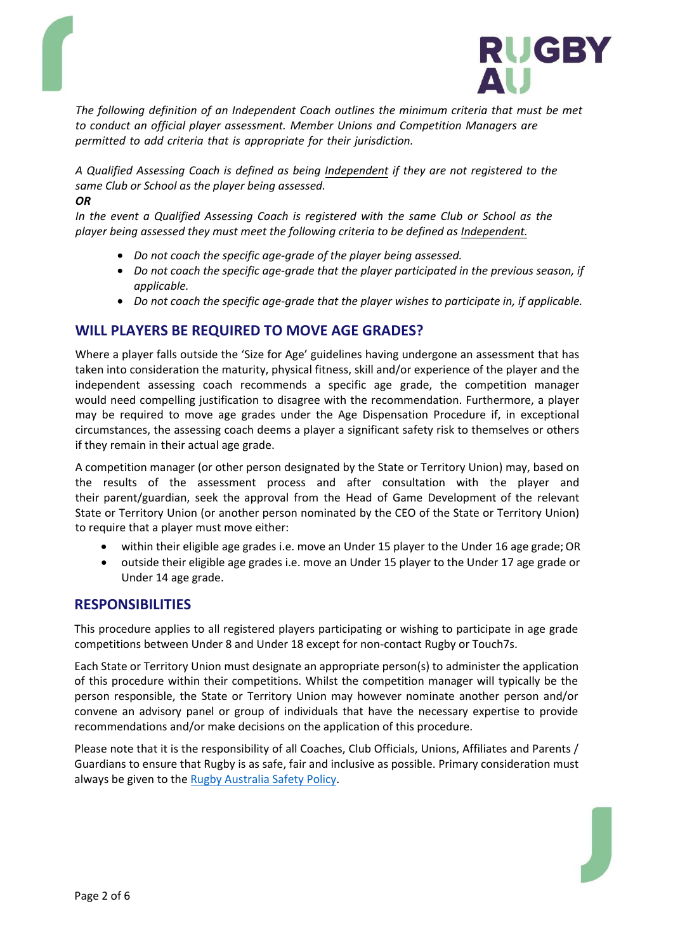



*The following definition of an Independent Coach outlines the minimum criteria that must be met to conduct an official player assessment. Member Unions and Competition Managers are permitted to add criteria that is appropriate for their jurisdiction.*

*A Qualified Assessing Coach is defined as being Independent if they are not registered to the same Club or School as the player being assessed.*

#### *OR*

*In the event a Qualified Assessing Coach is registered with the same Club or School as the player being assessed they must meet the following criteria to be defined as Independent.*

- *Do not coach the specific age-grade of the player being assessed.*
- *Do not coach the specific age-grade that the player participated in the previous season, if applicable.*
- *Do not coach the specific age-grade that the player wishes to participate in, if applicable.*

# **WILL PLAYERS BE REQUIRED TO MOVE AGE GRADES?**

Where a player falls outside the 'Size for Age' guidelines having undergone an assessment that has taken into consideration the maturity, physical fitness, skill and/or experience of the player and the independent assessing coach recommends a specific age grade, the competition manager would need compelling justification to disagree with the recommendation. Furthermore, a player may be required to move age grades under the Age Dispensation Procedure if, in exceptional circumstances, the assessing coach deems a player a significant safety risk to themselves or others if they remain in their actual age grade.

A competition manager (or other person designated by the State or Territory Union) may, based on the results of the assessment process and after consultation with the player and their parent/guardian, seek the approval from the Head of Game Development of the relevant State or Territory Union (or another person nominated by the CEO of the State or Territory Union) to require that a player must move either:

- within their eligible age grades i.e. move an Under 15 player to the Under 16 age grade; OR
- outside their [eligible age grades i.e. move an](http://www.rugbyau.com/-/media/rugbyau/documents/RugbyAustraliaSafetyPolicy.pdf) Under 15 player to the Under 17 age grade or Under 14 age grade.

### **RESPONSIBILITIES**

This procedure applies to all registered players participating or wishing to participate in age grade competitions between Under 8 and Under 18 except for non-contact Rugby or Touch7s.

Each State or Territory Union must designate an appropriate person(s) to administer the application of this procedure within their competitions. Whilst the competition manager will typically be the person responsible, the State or Territory Union may however nominate another person and/or convene an advisory panel or group of individuals that have the necessary expertise to provide recommendations and/or make decisions on the application of this procedure.

Please note that it is the responsibility of all Coaches, Club Officials, Unions, Affiliates and Parents / Guardians to ensure that Rugby is as safe, fair and inclusive as possible. Primary consideration must always be given to the Rugby Australia Safety Policy.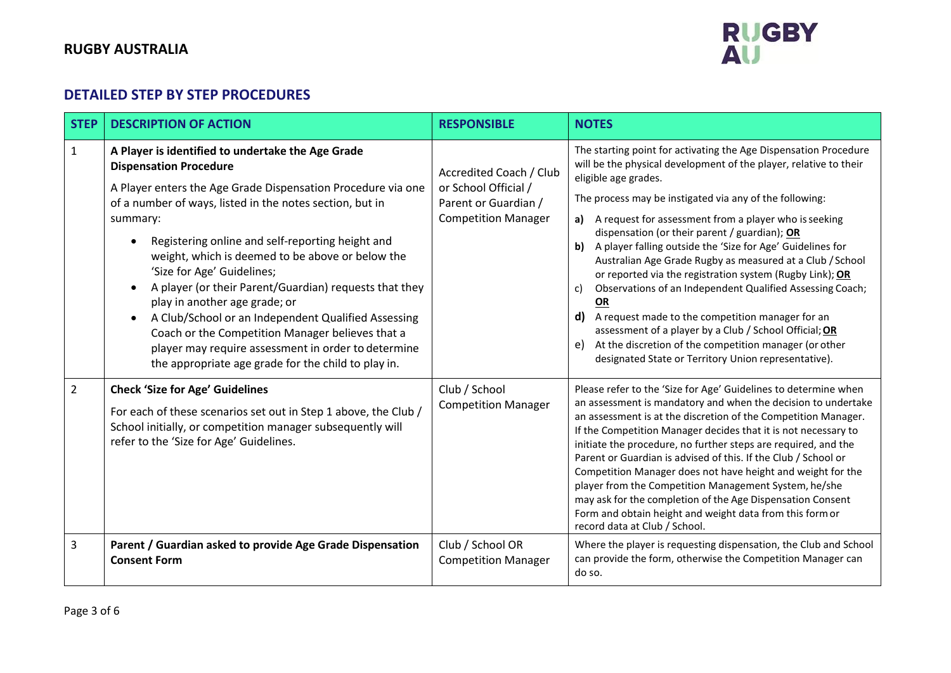# **RUGBY AUSTRALIA**



# **DETAILED STEP BY STEP PROCEDURES**

| <b>STEP</b>    | <b>DESCRIPTION OF ACTION</b>                                                                                                                                                                                                                                                                                                                                                                                                                                                                                                                                                                                                                                                                      | <b>RESPONSIBLE</b>                                                                                    | <b>NOTES</b>                                                                                                                                                                                                                                                                                                                                                                                                                                                                                                                                                                                                                                                                                                                                                                                                                                               |
|----------------|---------------------------------------------------------------------------------------------------------------------------------------------------------------------------------------------------------------------------------------------------------------------------------------------------------------------------------------------------------------------------------------------------------------------------------------------------------------------------------------------------------------------------------------------------------------------------------------------------------------------------------------------------------------------------------------------------|-------------------------------------------------------------------------------------------------------|------------------------------------------------------------------------------------------------------------------------------------------------------------------------------------------------------------------------------------------------------------------------------------------------------------------------------------------------------------------------------------------------------------------------------------------------------------------------------------------------------------------------------------------------------------------------------------------------------------------------------------------------------------------------------------------------------------------------------------------------------------------------------------------------------------------------------------------------------------|
| 1              | A Player is identified to undertake the Age Grade<br><b>Dispensation Procedure</b><br>A Player enters the Age Grade Dispensation Procedure via one<br>of a number of ways, listed in the notes section, but in<br>summary:<br>Registering online and self-reporting height and<br>weight, which is deemed to be above or below the<br>'Size for Age' Guidelines;<br>A player (or their Parent/Guardian) requests that they<br>play in another age grade; or<br>A Club/School or an Independent Qualified Assessing<br>$\bullet$<br>Coach or the Competition Manager believes that a<br>player may require assessment in order to determine<br>the appropriate age grade for the child to play in. | Accredited Coach / Club<br>or School Official /<br>Parent or Guardian /<br><b>Competition Manager</b> | The starting point for activating the Age Dispensation Procedure<br>will be the physical development of the player, relative to their<br>eligible age grades.<br>The process may be instigated via any of the following:<br>A request for assessment from a player who is seeking<br>a)<br>dispensation (or their parent / guardian); OR<br>A player falling outside the 'Size for Age' Guidelines for<br>b)<br>Australian Age Grade Rugby as measured at a Club / School<br>or reported via the registration system (Rugby Link); OR<br>Observations of an Independent Qualified Assessing Coach;<br>c)<br>OR<br>A request made to the competition manager for an<br>d)<br>assessment of a player by a Club / School Official; OR<br>At the discretion of the competition manager (or other<br>e)<br>designated State or Territory Union representative). |
| $\overline{2}$ | <b>Check 'Size for Age' Guidelines</b><br>For each of these scenarios set out in Step 1 above, the Club /<br>School initially, or competition manager subsequently will<br>refer to the 'Size for Age' Guidelines.                                                                                                                                                                                                                                                                                                                                                                                                                                                                                | Club / School<br><b>Competition Manager</b>                                                           | Please refer to the 'Size for Age' Guidelines to determine when<br>an assessment is mandatory and when the decision to undertake<br>an assessment is at the discretion of the Competition Manager.<br>If the Competition Manager decides that it is not necessary to<br>initiate the procedure, no further steps are required, and the<br>Parent or Guardian is advised of this. If the Club / School or<br>Competition Manager does not have height and weight for the<br>player from the Competition Management System, he/she<br>may ask for the completion of the Age Dispensation Consent<br>Form and obtain height and weight data from this form or<br>record data at Club / School.                                                                                                                                                                |
| 3              | Parent / Guardian asked to provide Age Grade Dispensation<br><b>Consent Form</b>                                                                                                                                                                                                                                                                                                                                                                                                                                                                                                                                                                                                                  | Club / School OR<br><b>Competition Manager</b>                                                        | Where the player is requesting dispensation, the Club and School<br>can provide the form, otherwise the Competition Manager can<br>do so.                                                                                                                                                                                                                                                                                                                                                                                                                                                                                                                                                                                                                                                                                                                  |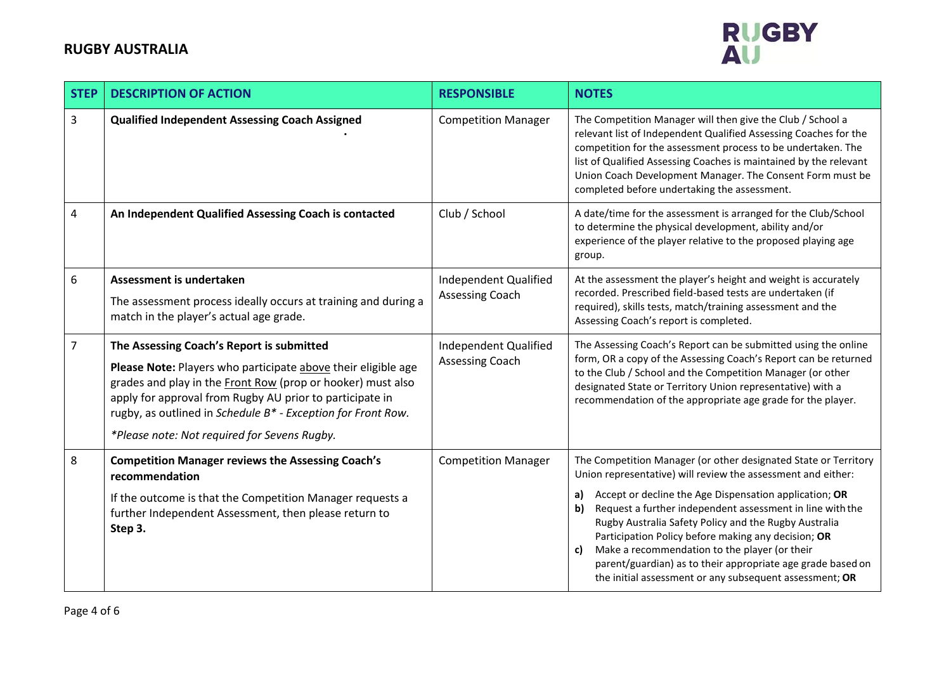

| <b>STEP</b>      | <b>DESCRIPTION OF ACTION</b>                                                                                                                                                                                                                                                                                                                          | <b>RESPONSIBLE</b>                                     | <b>NOTES</b>                                                                                                                                                                                                                                                                                                                                                                                                                                                                                                                                                        |
|------------------|-------------------------------------------------------------------------------------------------------------------------------------------------------------------------------------------------------------------------------------------------------------------------------------------------------------------------------------------------------|--------------------------------------------------------|---------------------------------------------------------------------------------------------------------------------------------------------------------------------------------------------------------------------------------------------------------------------------------------------------------------------------------------------------------------------------------------------------------------------------------------------------------------------------------------------------------------------------------------------------------------------|
| $\mathbf{3}$     | <b>Qualified Independent Assessing Coach Assigned</b>                                                                                                                                                                                                                                                                                                 | <b>Competition Manager</b>                             | The Competition Manager will then give the Club / School a<br>relevant list of Independent Qualified Assessing Coaches for the<br>competition for the assessment process to be undertaken. The<br>list of Qualified Assessing Coaches is maintained by the relevant<br>Union Coach Development Manager. The Consent Form must be<br>completed before undertaking the assessment.                                                                                                                                                                                    |
| $\overline{4}$   | An Independent Qualified Assessing Coach is contacted                                                                                                                                                                                                                                                                                                 | Club / School                                          | A date/time for the assessment is arranged for the Club/School<br>to determine the physical development, ability and/or<br>experience of the player relative to the proposed playing age<br>group.                                                                                                                                                                                                                                                                                                                                                                  |
| $\boldsymbol{6}$ | Assessment is undertaken<br>The assessment process ideally occurs at training and during a<br>match in the player's actual age grade.                                                                                                                                                                                                                 | Independent Qualified<br>Assessing Coach               | At the assessment the player's height and weight is accurately<br>recorded. Prescribed field-based tests are undertaken (if<br>required), skills tests, match/training assessment and the<br>Assessing Coach's report is completed.                                                                                                                                                                                                                                                                                                                                 |
| $\overline{7}$   | The Assessing Coach's Report is submitted<br>Please Note: Players who participate above their eligible age<br>grades and play in the Front Row (prop or hooker) must also<br>apply for approval from Rugby AU prior to participate in<br>rugby, as outlined in Schedule B* - Exception for Front Row.<br>*Please note: Not required for Sevens Rugby. | <b>Independent Qualified</b><br><b>Assessing Coach</b> | The Assessing Coach's Report can be submitted using the online<br>form, OR a copy of the Assessing Coach's Report can be returned<br>to the Club / School and the Competition Manager (or other<br>designated State or Territory Union representative) with a<br>recommendation of the appropriate age grade for the player.                                                                                                                                                                                                                                        |
| 8                | <b>Competition Manager reviews the Assessing Coach's</b><br>recommendation<br>If the outcome is that the Competition Manager requests a<br>further Independent Assessment, then please return to<br>Step 3.                                                                                                                                           | <b>Competition Manager</b>                             | The Competition Manager (or other designated State or Territory<br>Union representative) will review the assessment and either:<br>Accept or decline the Age Dispensation application; OR<br>a)<br>Request a further independent assessment in line with the<br>b)<br>Rugby Australia Safety Policy and the Rugby Australia<br>Participation Policy before making any decision; OR<br>Make a recommendation to the player (or their<br>c)<br>parent/guardian) as to their appropriate age grade based on<br>the initial assessment or any subsequent assessment; OR |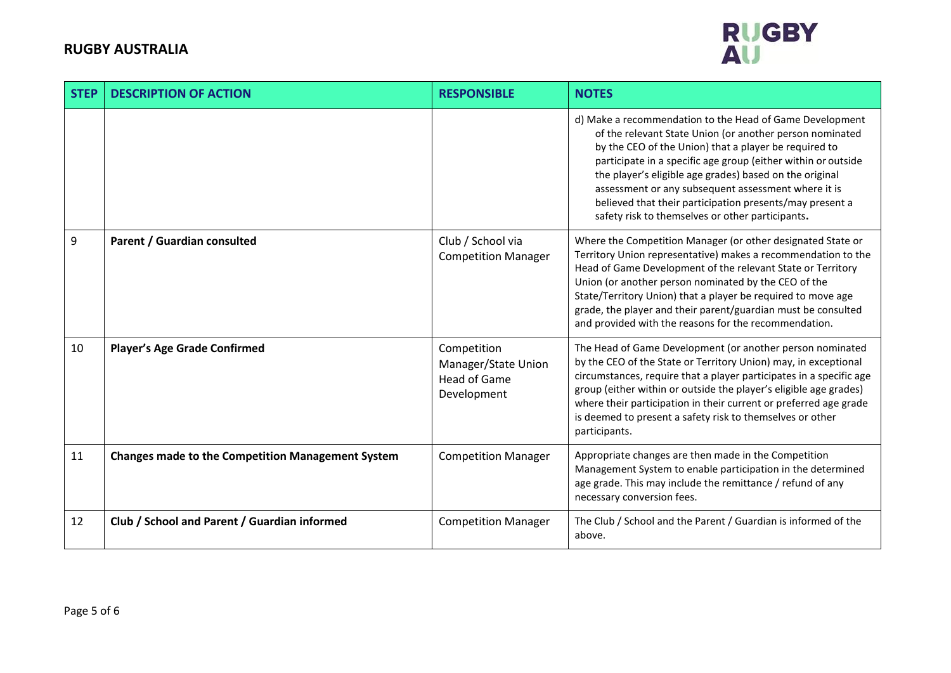

| <b>STEP</b> | <b>DESCRIPTION OF ACTION</b>                             | <b>RESPONSIBLE</b>                                                       | <b>NOTES</b>                                                                                                                                                                                                                                                                                                                                                                                                                                                                     |
|-------------|----------------------------------------------------------|--------------------------------------------------------------------------|----------------------------------------------------------------------------------------------------------------------------------------------------------------------------------------------------------------------------------------------------------------------------------------------------------------------------------------------------------------------------------------------------------------------------------------------------------------------------------|
|             |                                                          |                                                                          | d) Make a recommendation to the Head of Game Development<br>of the relevant State Union (or another person nominated<br>by the CEO of the Union) that a player be required to<br>participate in a specific age group (either within or outside<br>the player's eligible age grades) based on the original<br>assessment or any subsequent assessment where it is<br>believed that their participation presents/may present a<br>safety risk to themselves or other participants. |
| 9           | Parent / Guardian consulted                              | Club / School via<br><b>Competition Manager</b>                          | Where the Competition Manager (or other designated State or<br>Territory Union representative) makes a recommendation to the<br>Head of Game Development of the relevant State or Territory<br>Union (or another person nominated by the CEO of the<br>State/Territory Union) that a player be required to move age<br>grade, the player and their parent/guardian must be consulted<br>and provided with the reasons for the recommendation.                                    |
| 10          | <b>Player's Age Grade Confirmed</b>                      | Competition<br>Manager/State Union<br><b>Head of Game</b><br>Development | The Head of Game Development (or another person nominated<br>by the CEO of the State or Territory Union) may, in exceptional<br>circumstances, require that a player participates in a specific age<br>group (either within or outside the player's eligible age grades)<br>where their participation in their current or preferred age grade<br>is deemed to present a safety risk to themselves or other<br>participants.                                                      |
| 11          | <b>Changes made to the Competition Management System</b> | <b>Competition Manager</b>                                               | Appropriate changes are then made in the Competition<br>Management System to enable participation in the determined<br>age grade. This may include the remittance / refund of any<br>necessary conversion fees.                                                                                                                                                                                                                                                                  |
| 12          | Club / School and Parent / Guardian informed             | <b>Competition Manager</b>                                               | The Club / School and the Parent / Guardian is informed of the<br>above.                                                                                                                                                                                                                                                                                                                                                                                                         |